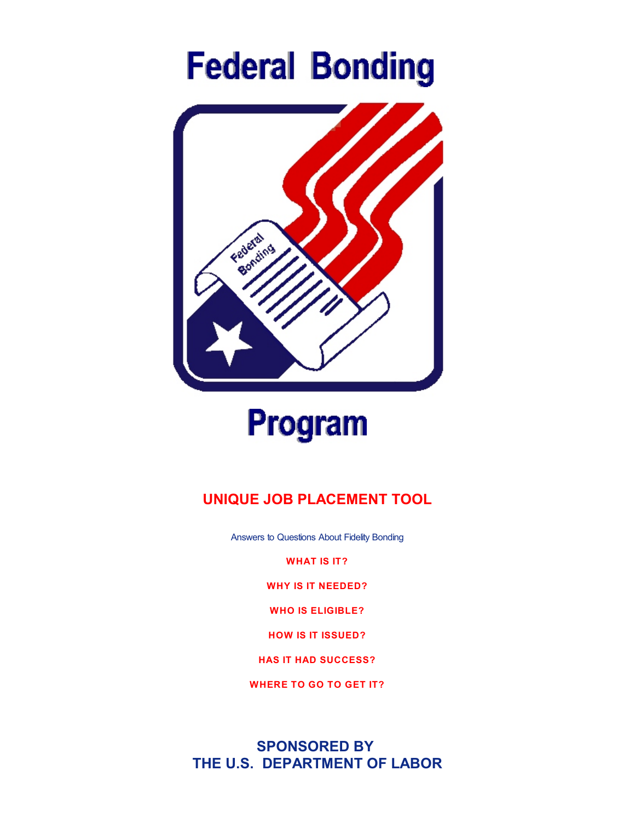# **Federal Bonding**





## **UNIQUE JOB PLACEMENT TOOL**

Answers to Questions About Fidelity Bonding

**WHAT IS IT?**

**WHY IS IT NEEDED?**

**WHO IS ELIGIBLE?**

**HOW IS IT ISSUED?**

**HAS IT HAD SUCCESS?**

**WHERE TO GO TO GET IT?**

### **SPONSORED BY THE U.S. DEPARTMENT OF LABOR**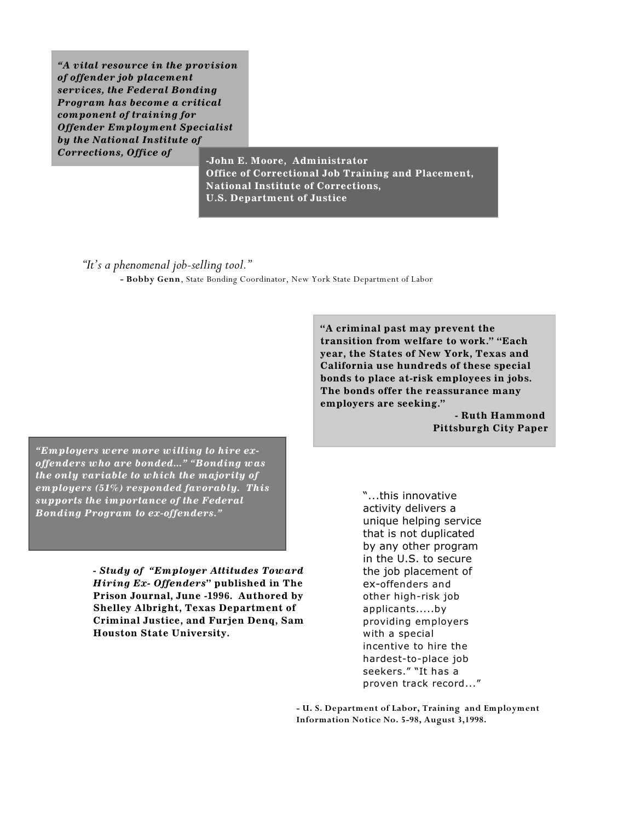**-John E. Moore, Administrator Office of Correctional Job Training** *"A vital resource in the provision* **and Placement,** *of offender job placement* **National Institute of Corrections,**  *services, the Federal Bonding* **U.S. Department of Justice** *Program has become a critical component of training for Offender Employment Specialist by the National Institute of Corrections, Office of*

**-John E. Moore, Administrator Office of Correctional Job Training and Placement, National Institute of Corrections, U.S. Department of Justice**

*"It's a phenomenal job-selling tool."*

**- Bobby Genn**, State Bonding Coordinator, New York State Department of Labor

"A criminal past may prevent the transition from welfare to work." "Each year, the States of New York, Texas and California use hundreds of these special bonds to place at-risk employees in jobs. The bonds offer the reassurance many employers are seeking."

> **- Ruth Hammond Pittsburgh City Paper**

*"Employers were more willing to hire exoffenders who are bonded..." "Bonding was the only variable to which the majority of employers (51%) responded favorably. This supports the importance of the Federal Bonding Program to ex-offenders."*

> *- Study of "Employer Attitudes Toward Hiring Ex- Offenders***" published in The Prison Journal, June -1996. Authored by Shelley Albright, Texas Department of Criminal Justice, and Furjen Denq, Sam Houston State University.**

"...this innovative activity delivers a unique helping service that is not duplicated by any other program in the U.S. to secure the job placement of ex-offenders and other high-risk job applicants.....by providing employers with a special incentive to hire the hardest-to-place job seekers." "It has a proven track record..."

**- U. S. Department of Labor, Training and Employment Information Notice No. 5-98, August 3,1998.**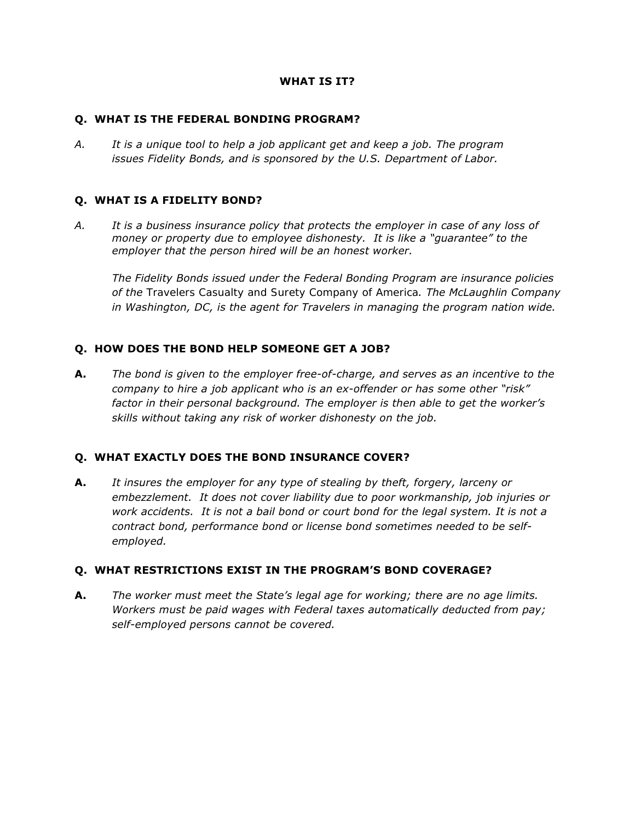#### **WHAT IS IT?**

#### **Q. WHAT IS THE FEDERAL BONDING PROGRAM?**

*A. It is a unique tool to help a job applicant get and keep a job. The program issues Fidelity Bonds, and is sponsored by the U.S. Department of Labor.*

#### **Q. WHAT IS A FIDELITY BOND?**

*A. It is a business insurance policy that protects the employer in case of any loss of money or property due to employee dishonesty. It is like a "guarantee" to the employer that the person hired will be an honest worker.*

*The Fidelity Bonds issued under the Federal Bonding Program are insurance policies of the Travelers Casualty and Surety Company of America. The McLaughlin Company in Washington, DC, is the agent for Travelers in managing the program nation wide.*

#### **Q. HOW DOES THE BOND HELP SOMEONE GET A JOB?**

**A.** *The bond is given to the employer free-of-charge, and serves as an incentive to the company to hire a job applicant who is an ex-offender or has some other "risk" factor in their personal background. The employer is then able to get the worker's skills without taking any risk of worker dishonesty on the job.*

#### **Q. WHAT EXACTLY DOES THE BOND INSURANCE COVER?**

**A.** *It insures the employer for any type of stealing by theft, forgery, larceny or embezzlement. It does not cover liability due to poor workmanship, job injuries or work accidents. It is not a bail bond or court bond for the legal system. It is not a contract bond, performance bond or license bond sometimes needed to be selfemployed.*

#### **Q. WHAT RESTRICTIONS EXIST IN THE PROGRAM'S BOND COVERAGE?**

**A.** *The worker must meet the State's legal age for working; there are no age limits. Workers must be paid wages with Federal taxes automatically deducted from pay; self-employed persons cannot be covered.*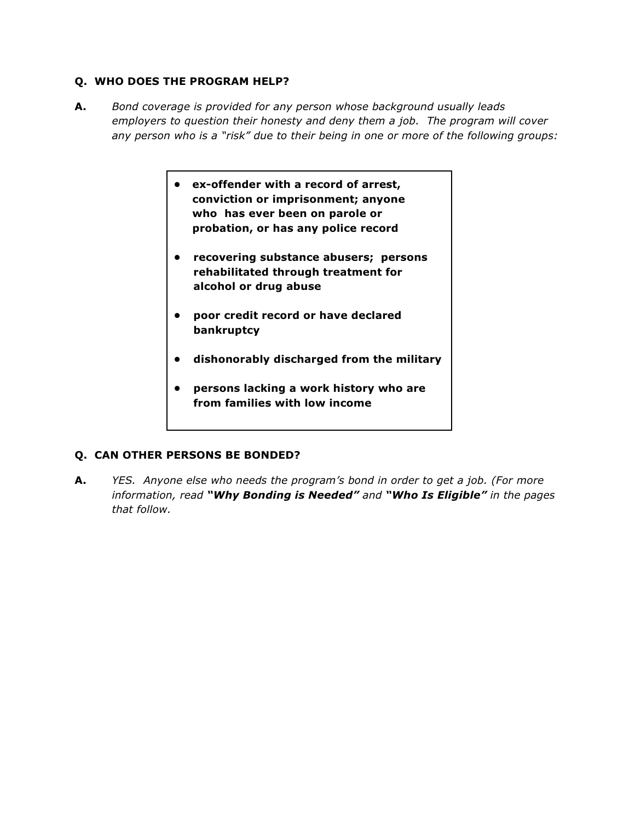#### **Q. WHO DOES THE PROGRAM HELP?**

- **A.** *Bond coverage is provided for any person whose background usually leads employers to question their honesty and deny them a job. The program will cover any person who is a "risk" due to their being in one or more of the following groups:*
	- ! **ex-offender with a record of arrest, conviction or imprisonment; anyone who has ever been on parole or probation, or has any police record**
	- ! **recovering substance abusers; persons rehabilitated through treatment for alcohol or drug abuse**
	- ! **poor credit record or have declared bankruptcy**
	- ! **dishonorably discharged from the military**
	- ! **persons lacking a work history who are from families with low income**

#### **Q. CAN OTHER PERSONS BE BONDED?**

**A.** *YES. Anyone else who needs the program's bond in order to get a job. (For more information, read "Why Bonding is Needed" and "Who Is Eligible" in the pages that follow.*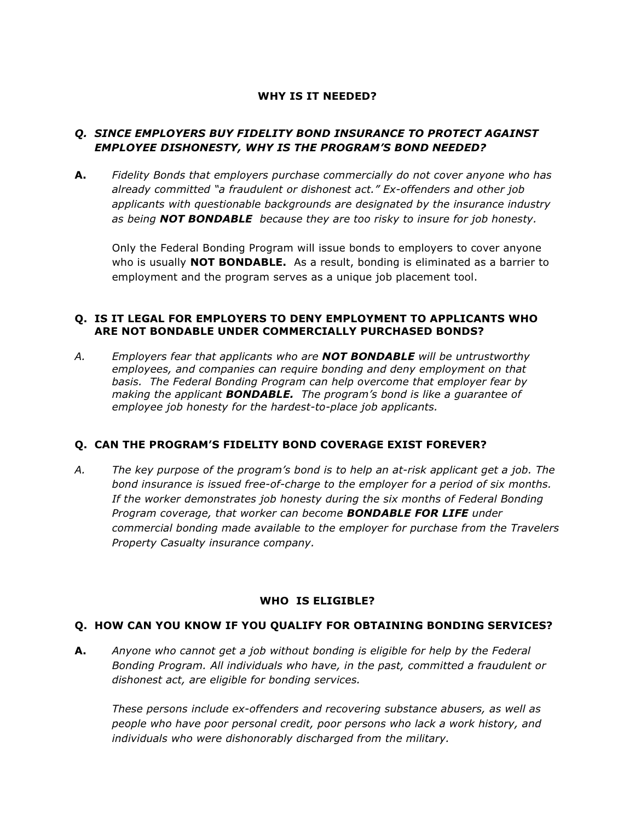#### **WHY IS IT NEEDED?**

#### *Q. SINCE EMPLOYERS BUY FIDELITY BOND INSURANCE TO PROTECT AGAINST EMPLOYEE DISHONESTY, WHY IS THE PROGRAM'S BOND NEEDED?*

**A.** *Fidelity Bonds that employers purchase commercially do not cover anyone who has already committed "a fraudulent or dishonest act." Ex-offenders and other job applicants with questionable backgrounds are designated by the insurance industry as being NOT BONDABLE because they are too risky to insure for job honesty.*

Only the Federal Bonding Program will issue bonds to employers to cover anyone who is usually **NOT BONDABLE.** As a result, bonding is eliminated as a barrier to employment and the program serves as a unique job placement tool.

#### **Q. IS IT LEGAL FOR EMPLOYERS TO DENY EMPLOYMENT TO APPLICANTS WHO ARE NOT BONDABLE UNDER COMMERCIALLY PURCHASED BONDS?**

*A. Employers fear that applicants who are NOT BONDABLE will be untrustworthy employees, and companies can require bonding and deny employment on that basis. The Federal Bonding Program can help overcome that employer fear by making the applicant BONDABLE. The program's bond is like a guarantee of employee job honesty for the hardest-to-place job applicants.*

#### **Q. CAN THE PROGRAM'S FIDELITY BOND COVERAGE EXIST FOREVER?**

*A. The key purpose of the program's bond is to help an at-risk applicant get a job. The bond insurance is issued free-of-charge to the employer for a period of six months. If the worker demonstrates job honesty during the six months of Federal Bonding Program coverage, that worker can become BONDABLE FOR LIFE under commercial bonding made available to the employer for purchase from the Travelers Property Casualty insurance company.*

#### **WHO IS ELIGIBLE?**

#### **Q. HOW CAN YOU KNOW IF YOU QUALIFY FOR OBTAINING BONDING SERVICES?**

**A.** *Anyone who cannot get a job without bonding is eligible for help by the Federal Bonding Program. All individuals who have, in the past, committed a fraudulent or dishonest act, are eligible for bonding services.* 

*These persons include ex-offenders and recovering substance abusers, as well as people who have poor personal credit, poor persons who lack a work history, and individuals who were dishonorably discharged from the military.*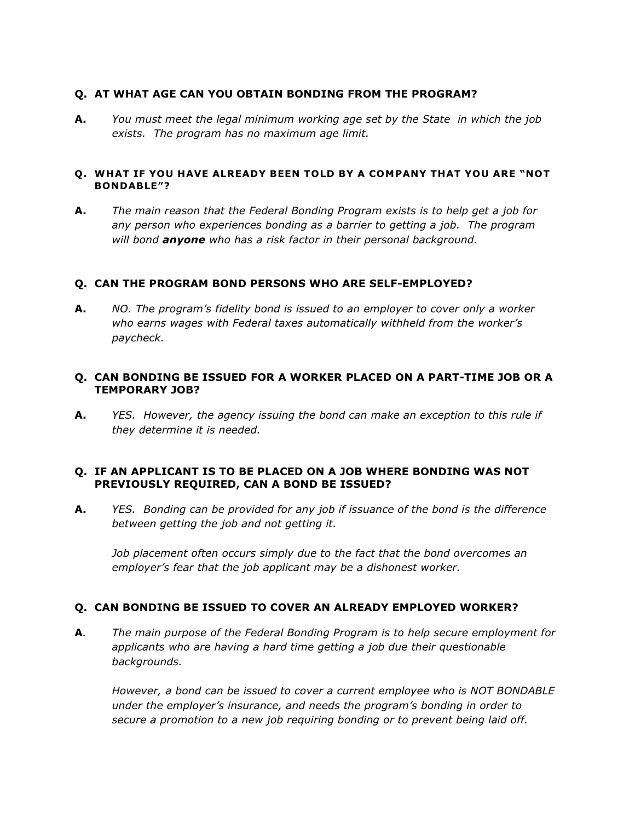#### **Q. AT WHAT AGE CAN YOU OBTAIN BONDING FROM THE PROGRAM?**

**A.** *You must meet the legal minimum working age set by the State in which the job exists. The program has no maximum age limit.*

#### **Q . WHAT IF YOU HAVE ALREADY BEEN TOLD BY A COMPANY THAT YOU ARE "NOT BONDABLE"?**

**A.** *The main reason that the Federal Bonding Program exists is to help get a job for any person who experiences bonding as a barrier to getting a job. The program will bond anyone who has a risk factor in their personal background.*

#### **Q. CAN THE PROGRAM BOND PERSONS WHO ARE SELF-EMPLOYED?**

**A.** *NO. The program's fidelity bond is issued to an employer to cover only a worker who earns wages with Federal taxes automatically withheld from the worker's paycheck.*

#### **Q. CAN BONDING BE ISSUED FOR A WORKER PLACED ON A PART-TIME JOB OR A TEMPORARY JOB?**

**A.** *YES. However, the agency issuing the bond can make an exception to this rule if they determine it is needed.* 

#### **Q. IF AN APPLICANT IS TO BE PLACED ON A JOB WHERE BONDING WAS NOT PREVIOUSLY REQUIRED, CAN A BOND BE ISSUED?**

**A.** *YES. Bonding can be provided for any job if issuance of the bond is the difference between getting the job and not getting it.*

*Job placement often occurs simply due to the fact that the bond overcomes an employer's fear that the job applicant may be a dishonest worker.*

#### **Q. CAN BONDING BE ISSUED TO COVER AN ALREADY EMPLOYED WORKER?**

**A***. The main purpose of the Federal Bonding Program is to help secure employment for applicants who are having a hard time getting a job due their questionable backgrounds.*

*However, a bond can be issued to cover a current employee who is NOT BONDABLE under the employer's insurance, and needs the program's bonding in order to secure a promotion to a new job requiring bonding or to prevent being laid off.*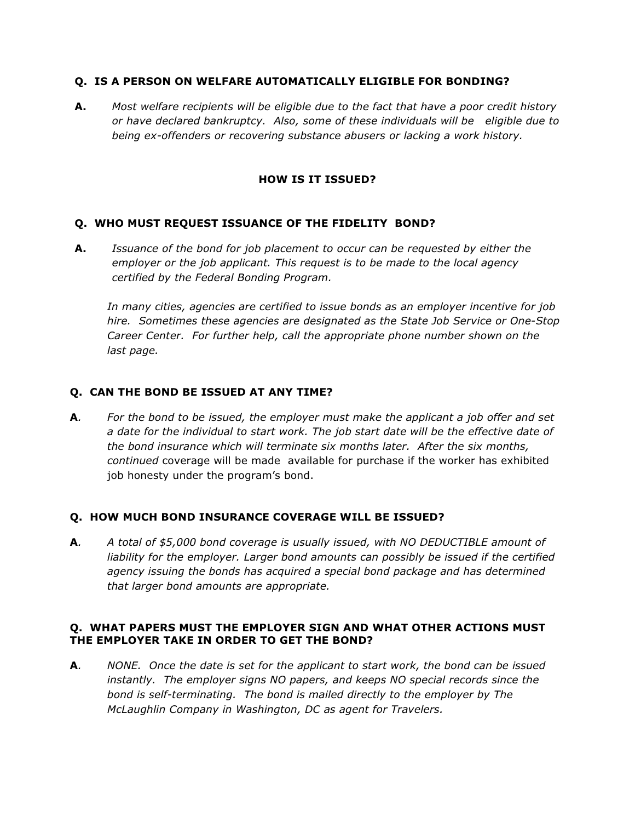#### **Q. IS A PERSON ON WELFARE AUTOMATICALLY ELIGIBLE FOR BONDING?**

**A.** *Most welfare recipients will be eligible due to the fact that have a poor credit history or have declared bankruptcy. Also, some of these individuals will be eligible due to being ex-offenders or recovering substance abusers or lacking a work history.*

#### **HOW IS IT ISSUED?**

#### **Q. WHO MUST REQUEST ISSUANCE OF THE FIDELITY BOND?**

**A.** *Issuance of the bond for job placement to occur can be requested by either the employer or the job applicant. This request is to be made to the local agency certified by the Federal Bonding Program.*

*In many cities, agencies are certified to issue bonds as an employer incentive for job hire. Sometimes these agencies are designated as the State Job Service or One-Stop Career Center. For further help, call the appropriate phone number shown on the last page.*

#### **Q. CAN THE BOND BE ISSUED AT ANY TIME?**

**A***. For the bond to be issued, the employer must make the applicant a job offer and set a date for the individual to start work. The job start date will be the effective date of the bond insurance which will terminate six months later. After the six months, continued* coverage will be made available for purchase if the worker has exhibited job honesty under the program's bond.

#### **Q. HOW MUCH BOND INSURANCE COVERAGE WILL BE ISSUED?**

**A***. A total of \$5,000 bond coverage is usually issued, with NO DEDUCTIBLE amount of liability for the employer. Larger bond amounts can possibly be issued if the certified agency issuing the bonds has acquired a special bond package and has determined that larger bond amounts are appropriate.*

#### **Q. WHAT PAPERS MUST THE EMPLOYER SIGN AND WHAT OTHER ACTIONS MUST THE EMPLOYER TAKE IN ORDER TO GET THE BOND?**

**A***. NONE. Once the date is set for the applicant to start work, the bond can be issued instantly. The employer signs NO papers, and keeps NO special records since the bond is self-terminating. The bond is mailed directly to the employer by The McLaughlin Company in Washington, DC as agent for Travelers.*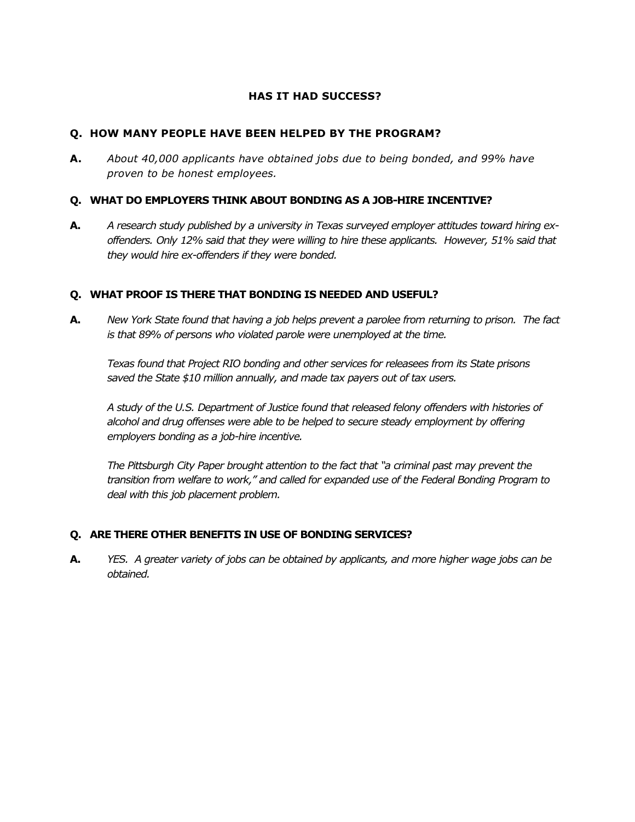#### **HAS IT HAD SUCCESS?**

#### **Q. HOW MANY PEOPLE HAVE BEEN HELPED BY THE PROGRAM?**

**A.** *About 40,000 applicants have obtained jobs due to being bonded, and 99% have proven to be honest employees.*

#### **Q. WHAT DO EMPLOYERS THINK ABOUT BONDING AS A JOB-HIRE INCENTIVE?**

**A.** *A research study published by a university in Texas surveyed employer attitudes toward hiring exoffenders. Only 12% said that they were willing to hire these applicants. However, 51% said that they would hire ex-offenders if they were bonded.*

#### **Q. WHAT PROOF IS THERE THAT BONDING IS NEEDED AND USEFUL?**

**A.** *New York State found that having a job helps prevent a parolee from returning to prison. The fact is that 89% of persons who violated parole were unemployed at the time.*

*Texas found that Project RIO bonding and other services for releasees from its State prisons saved the State \$10 million annually, and made tax payers out of tax users.*

*A study of the U.S. Department of Justice found that released felony offenders with histories of alcohol and drug offenses were able to be helped to secure steady employment by offering employers bonding as a job-hire incentive.*

*The Pittsburgh City Paper brought attention to the fact that "a criminal past may prevent the transition from welfare to work," and called for expanded use of the Federal Bonding Program to deal with this job placement problem.*

#### **Q. ARE THERE OTHER BENEFITS IN USE OF BONDING SERVICES?**

**A.** *YES. A greater variety of jobs can be obtained by applicants, and more higher wage jobs can be obtained.*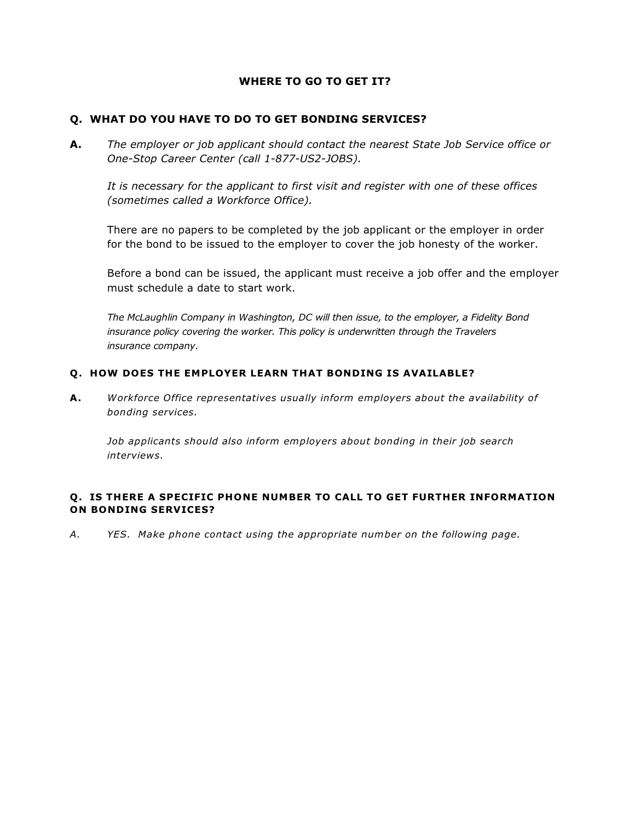#### **WHERE TO GO TO GET IT?**

#### **Q. WHAT DO YOU HAVE TO DO TO GET BONDING SERVICES?**

**A.** *The employer or job applicant should contact the nearest State Job Service office or One-Stop Career Center (call 1-877-US2-JOBS).*

*It is necessary for the applicant to first visit and register with one of these offices (sometimes called a Workforce Office).*

There are no papers to be completed by the job applicant or the employer in order for the bond to be issued to the employer to cover the job honesty of the worker.

Before a bond can be issued, the applicant must receive a job offer and the employer must schedule a date to start work.

*The McLaughlin Company in Washington, DC will then issue, to the employer, a Fidelity Bond insurance policy covering the worker. This policy is underwritten through the Travelers insurance company.*

#### **Q. HOW DOES THE EMPLOYER LEARN THAT BONDING IS AVAILABLE?**

**A.** *Workforce Office representatives usually inform employers about the availability of bonding services.*

*Job applicants should also inform employers about bonding in their job search interviews.*

#### **Q.** IS THERE A SPECIFIC PHONE NUMBER TO CALL TO GET FURTHER INFORMATION **ON BONDING SERVICES?**

*A. YES. Make phone contact using the appropriate number on the following page.*